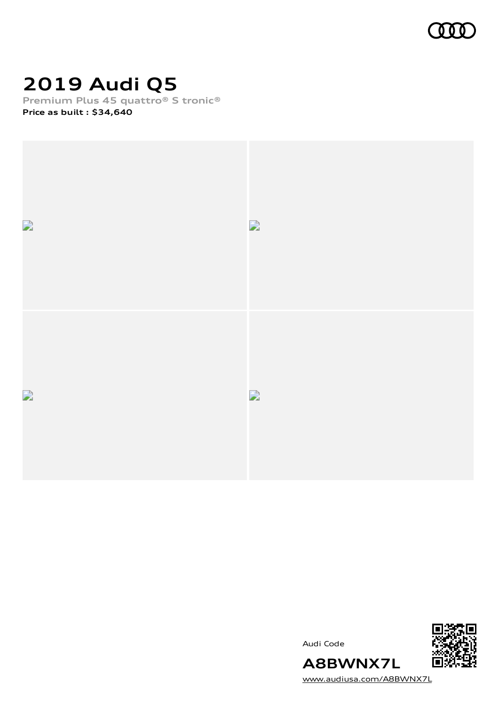

# **2019 Audi Q5**

**Premium Plus 45 quattro® S tronic® Price as built [:](#page-10-0) \$34,640**



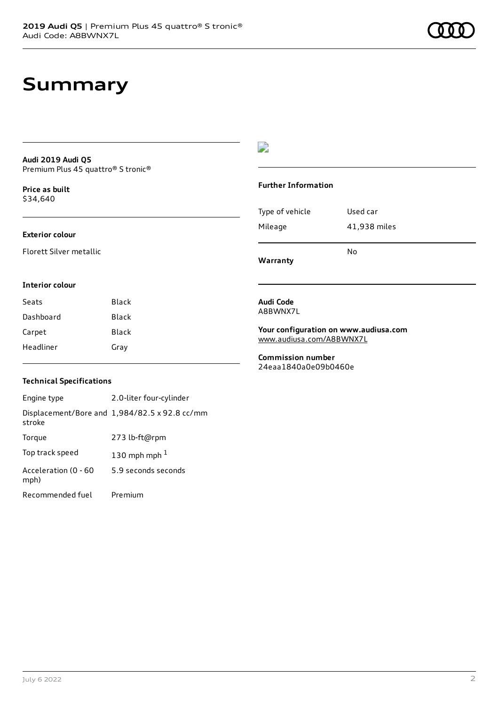## **Summary**

### **Audi 2019 Audi Q5** Premium Plus 45 quattro® S tronic®

**Price as buil[t](#page-10-0)** \$34,640

### **Exterior colour**

Florett Silver metallic

### $\overline{\phantom{a}}$

### **Further Information**

|                 | N٥           |
|-----------------|--------------|
| Mileage         | 41,938 miles |
| Type of vehicle | Used car     |

**Warranty**

#### **Interior colour**

| Seats     | Black |
|-----------|-------|
| Dashboard | Black |
| Carpet    | Black |
| Headliner | Gray  |

### **Technical Specifications**

| Engine type                  | 2.0-liter four-cylinder                       |
|------------------------------|-----------------------------------------------|
| stroke                       | Displacement/Bore and 1,984/82.5 x 92.8 cc/mm |
| Torque                       | 273 lb-ft@rpm                                 |
| Top track speed              | 130 mph mph $1$                               |
| Acceleration (0 - 60<br>mph) | 5.9 seconds seconds                           |
| Recommended fuel             | Premium                                       |

#### **Audi Code** A8BWNX7L

**Your configuration on www.audiusa.com** [www.audiusa.com/A8BWNX7L](https://www.audiusa.com/A8BWNX7L)

**Commission number** 24eaa1840a0e09b0460e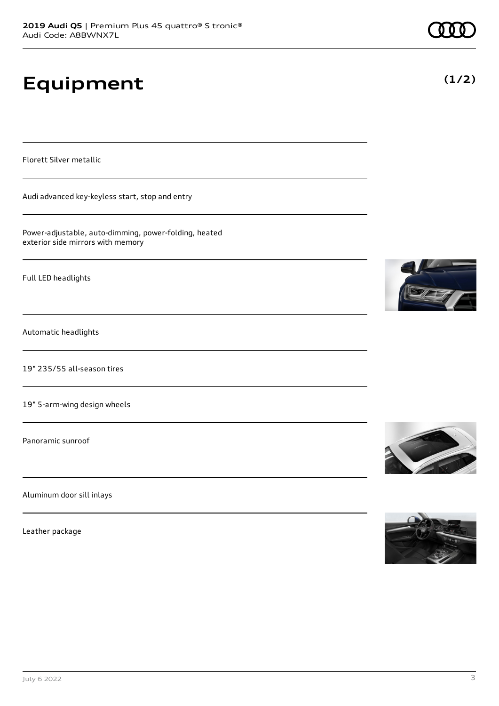# **Equipment**

Florett Silver metallic

Audi advanced key-keyless start, stop and entry

Power-adjustable, auto-dimming, power-folding, heated exterior side mirrors with memory

Full LED headlights

Automatic headlights

19" 235/55 all-season tires

19" 5-arm-wing design wheels

Panoramic sunroof

Aluminum door sill inlays

Leather package









**(1/2)**

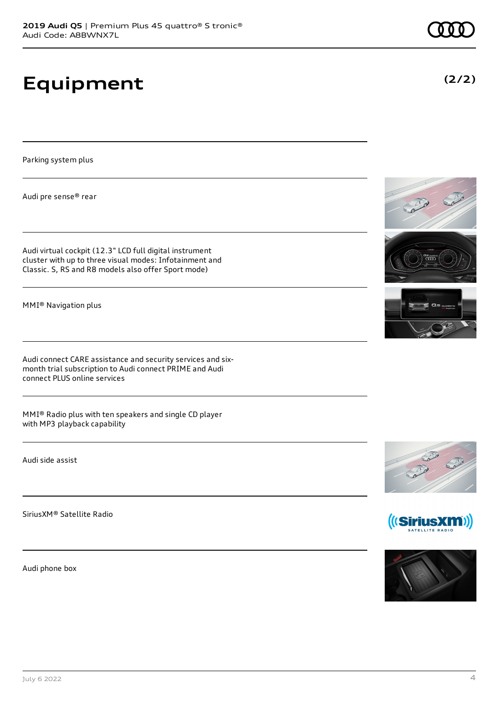# **Equipment**

Parking system plus

Audi pre sense® rear

Audi virtual cockpit (12.3" LCD full digital instrument cluster with up to three visual modes: Infotainment and Classic. S, RS and R8 models also offer Sport mode)

MMI® Navigation plus

Audi connect CARE assistance and security services and sixmonth trial subscription to Audi connect PRIME and Audi connect PLUS online services

MMI® Radio plus with ten speakers and single CD player with MP3 playback capability

Audi side assist

SiriusXM® Satellite Radio

Audi phone box









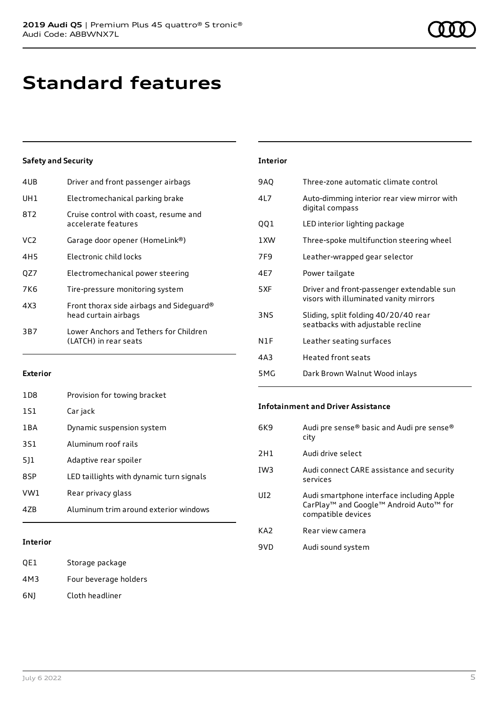# **Standard features**

### **Safety and Security**

| 4UB             | Driver and front passenger airbags                               |
|-----------------|------------------------------------------------------------------|
| UH1             | Electromechanical parking brake                                  |
| 8T2             | Cruise control with coast, resume and<br>accelerate features     |
| VC <sub>2</sub> | Garage door opener (HomeLink®)                                   |
| 4H <sub>5</sub> | Electronic child locks                                           |
| QZ7             | Electromechanical power steering                                 |
| 7K6             | Tire-pressure monitoring system                                  |
| 4X3             | Front thorax side airbags and Sideguard®<br>head curtain airbags |
| 3B7             | Lower Anchors and Tethers for Children<br>(LATCH) in rear seats  |
|                 |                                                                  |

| <b>Interior</b> |                                                                                     |
|-----------------|-------------------------------------------------------------------------------------|
| 9AQ             | Three-zone automatic climate control                                                |
| 417             | Auto-dimming interior rear view mirror with<br>digital compass                      |
| QQ1             | LED interior lighting package                                                       |
| 1 XW            | Three-spoke multifunction steering wheel                                            |
| 7F9             | Leather-wrapped gear selector                                                       |
| 4F7             | Power tailgate                                                                      |
| 5XF             | Driver and front-passenger extendable sun<br>visors with illuminated vanity mirrors |
| 3NS             | Sliding, split folding 40/20/40 rear<br>seatbacks with adjustable recline           |
| N1F             | Leather seating surfaces                                                            |
| 4A3             | <b>Heated front seats</b>                                                           |
| 5 M G           | Dark Brown Walnut Wood inlays                                                       |

### **Exterior**

| 47B              | Aluminum trim around exterior windows    |
|------------------|------------------------------------------|
| VW1              | Rear privacy glass                       |
| 8SP              | LED taillights with dynamic turn signals |
| 511              | Adaptive rear spoiler                    |
| 3S1              | Aluminum roof rails                      |
| 1 B A            | Dynamic suspension system                |
| 1S1              | Car jack                                 |
| 1 <sub>D</sub> 8 | Provision for towing bracket             |

### 6K9 Audi pre sense® basic and Audi pre sense®

**Infotainment and Driver Assistance**

|                 | , , a a , p , c b c , ibc — babic and , , a ar p , c b c , ibc<br>city                                                |
|-----------------|-----------------------------------------------------------------------------------------------------------------------|
| 2H1             | Audi drive select                                                                                                     |
| IW <sub>3</sub> | Audi connect CARE assistance and security<br>services                                                                 |
| UI2             | Audi smartphone interface including Apple<br>CarPlay <sup>™</sup> and Google™ Android Auto™ for<br>compatible devices |
| KA <sub>2</sub> | Rear view camera                                                                                                      |
| 9VD             | Audi sound system                                                                                                     |

### **Interior**

| OE1 | Storage package       |
|-----|-----------------------|
| 4M3 | Four beverage holders |
| 6N) | Cloth headliner       |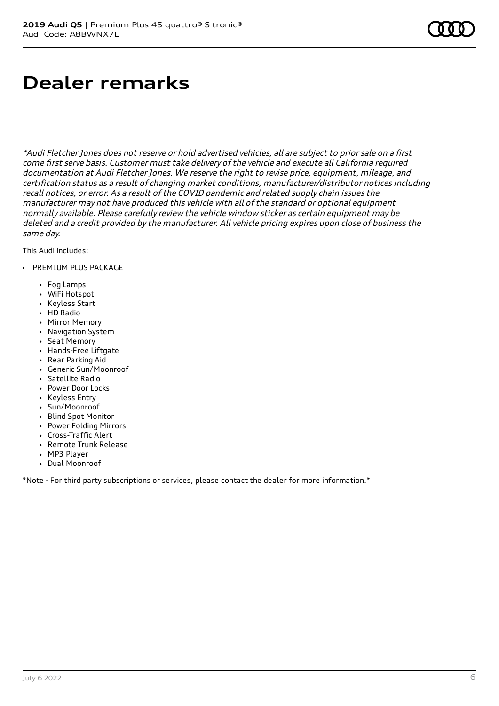# **Dealer remarks**

\*Audi Fletcher Jones does not reserve or hold advertised vehicles, all are subject to prior sale on <sup>a</sup> first come first serve basis. Customer must take delivery of the vehicle and execute all California required documentation at Audi Fletcher Jones. We reserve the right to revise price, equipment, mileage, and certification status as <sup>a</sup> result of changing market conditions, manufacturer/distributor notices including recall notices, or error. As <sup>a</sup> result of the COVID pandemic and related supply chain issues the manufacturer may not have produced this vehicle with all of the standard or optional equipment normally available. Please carefully review the vehicle window sticker as certain equipment may be deleted and <sup>a</sup> credit provided by the manufacturer. All vehicle pricing expires upon close of business the same day.

This Audi includes:

- PREMIUM PLUS PACKAGE
	- Fog Lamps
	- WiFi Hotspot
	- Keyless Start
	- HD Radio
	- Mirror Memory
	- Navigation System
	- Seat Memory
	- Hands-Free Liftgate
	- Rear Parking Aid
	- Generic Sun/Moonroof
	- Satellite Radio
	- Power Door Locks
	- Keyless Entry
	- Sun/Moonroof
	- Blind Spot Monitor
	- Power Folding Mirrors
	- Cross-Traffic Alert
	- Remote Trunk Release
	- MP3 Player
	- Dual Moonroof

\*Note - For third party subscriptions or services, please contact the dealer for more information.\*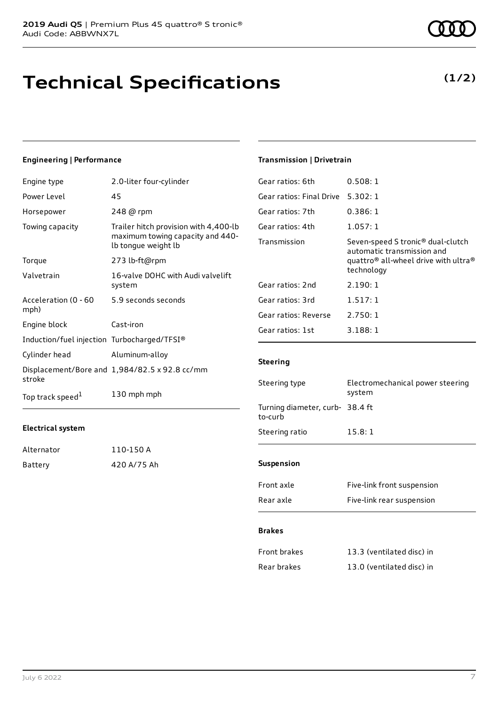# **Technical Specifications**

### **Engineering | Performance**

| Engine type                                 | 2.0-liter four-cylinder                                                                          |
|---------------------------------------------|--------------------------------------------------------------------------------------------------|
| Power Level                                 | 45                                                                                               |
| Horsepower                                  | 248 @ rpm                                                                                        |
| Towing capacity                             | Trailer hitch provision with 4,400-lb<br>maximum towing capacity and 440-<br>lb tongue weight lb |
| Torque                                      | 273 lb-ft@rpm                                                                                    |
| Valvetrain                                  | 16-valve DOHC with Audi valvelift<br>system                                                      |
| Acceleration (0 - 60<br>mph)                | 5.9 seconds seconds                                                                              |
| Engine block                                | Cast-iron                                                                                        |
| Induction/fuel injection Turbocharged/TFSI® |                                                                                                  |
| Cylinder head                               | Aluminum-alloy                                                                                   |
| stroke                                      | Displacement/Bore and 1,984/82.5 x 92.8 cc/mm                                                    |
| Top track speed <sup>1</sup>                | 130 mph mph                                                                                      |

### **Electrical system**

| Alternator | 110-150 A   |
|------------|-------------|
| Battery    | 420 A/75 Ah |

### **Transmission | Drivetrain**

| Gear ratios: 6th         | 0.508:1                                                                                                                                                   |
|--------------------------|-----------------------------------------------------------------------------------------------------------------------------------------------------------|
| Gear ratios: Final Drive | 5.302:1                                                                                                                                                   |
| Gear ratios: 7th         | 0.386:1                                                                                                                                                   |
| Gear ratios: 4th         | 1.057:1                                                                                                                                                   |
| Transmission             | Seven-speed S tronic <sup>®</sup> dual-clutch<br>automatic transmission and<br>quattro <sup>®</sup> all-wheel drive with ultra <sup>®</sup><br>technology |
| Gear ratios: 2nd         | 2.190:1                                                                                                                                                   |
| Gear ratios: 3rd         | 1.517:1                                                                                                                                                   |
| Gear ratios: Reverse     | 2.750:1                                                                                                                                                   |
| Gear ratios: 1st         | 3.188:1                                                                                                                                                   |
|                          |                                                                                                                                                           |

### **Steering**

| Steering type                              | Electromechanical power steering<br>system |
|--------------------------------------------|--------------------------------------------|
| Turning diameter, curb- 38.4 ft<br>to-curb |                                            |
| Steering ratio                             | 15.8:1                                     |
| <b>Suspension</b>                          |                                            |
| Front axle                                 | Five-link front suspension                 |

### Rear axle Five-link rear suspension

### **Brakes**

| Front brakes | 13.3 (ventilated disc) in |
|--------------|---------------------------|
| Rear brakes  | 13.0 (ventilated disc) in |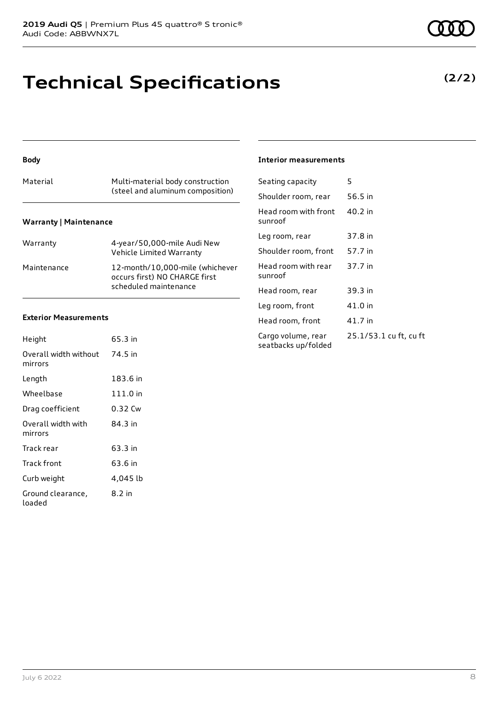## **Technical Specifications**

**Body**

| Material                      | Multi-material body construction<br>(steel and aluminum composition) |
|-------------------------------|----------------------------------------------------------------------|
| <b>Warranty   Maintenance</b> |                                                                      |

| Warranty    | 4-year/50,000-mile Audi New<br>Vehicle Limited Warranty                                   |
|-------------|-------------------------------------------------------------------------------------------|
| Maintenance | 12-month/10,000-mile (whichever<br>occurs first) NO CHARGE first<br>scheduled maintenance |

### **Exterior Measurements**

| Height                           | 65.3 in  |
|----------------------------------|----------|
| Overall width without<br>mirrors | 74.5 in  |
| Length                           | 183.6 in |
| Wheelbase                        | 111.0 in |
| Drag coefficient                 | 0.32 Cw  |
| Overall width with<br>mirrors    | 84 3 in  |
| Track rear                       | 63.3 in  |
| Track front                      | 63.6 in  |
| Curb weight                      | 4,045 lb |
| Ground clearance,<br>loaded      | 8.2 in   |

### **Interior measurements**

| Seating capacity                          | 5                      |
|-------------------------------------------|------------------------|
| Shoulder room, rear                       | 56.5 in                |
| Head room with front<br>sunroof           | 40.2 in                |
| Leg room, rear                            | 37.8 in                |
| Shoulder room, front                      | 57.7 in                |
| Head room with rear<br>sunroof            | 37.7 in                |
| Head room, rear                           | 39.3 in                |
| Leg room, front                           | 41.0 in                |
| Head room, front                          | 41.7 in                |
| Cargo volume, rear<br>seatbacks up/folded | 25.1/53.1 cu ft, cu ft |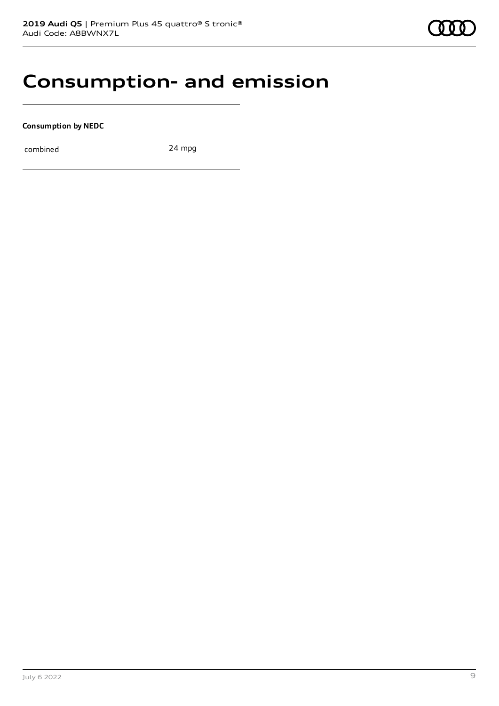### **Consumption- and emission**

**Consumption by NEDC**

combined 24 mpg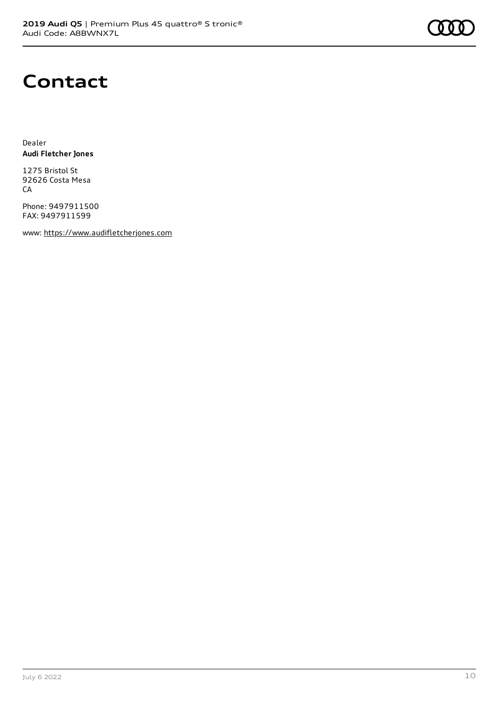

### **Contact**

Dealer **Audi Fletcher Jones**

1275 Bristol St 92626 Costa Mesa **CA** 

Phone: 9497911500 FAX: 9497911599

www: [https://www.audifletcherjones.com](https://www.audifletcherjones.com/)